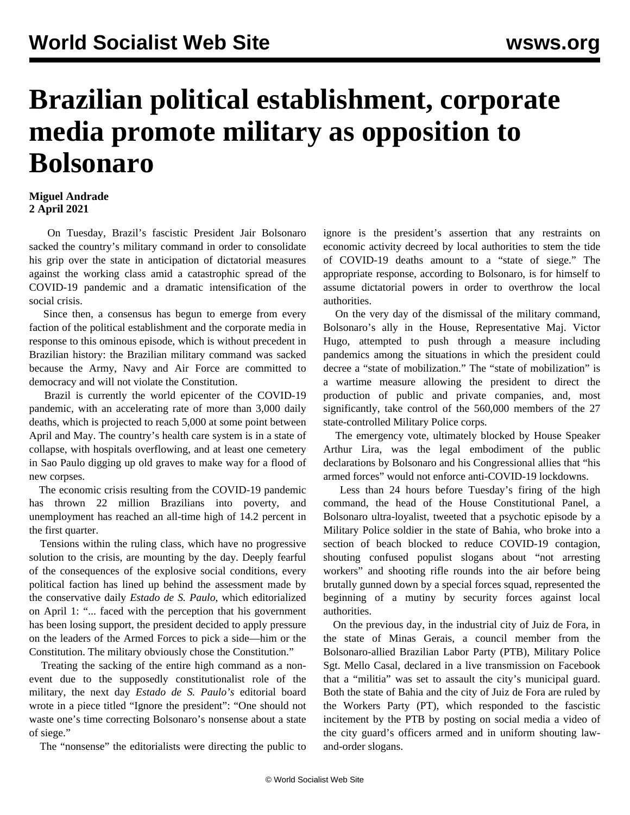## **Brazilian political establishment, corporate media promote military as opposition to Bolsonaro**

## **Miguel Andrade 2 April 2021**

 On Tuesday, Brazil's fascistic President Jair Bolsonaro sacked the country's military command in order to consolidate his grip over the state in anticipation of dictatorial measures against the working class amid a catastrophic spread of the COVID-19 pandemic and a dramatic intensification of the social crisis.

 Since then, a consensus has begun to emerge from every faction of the political establishment and the corporate media in response to this ominous episode, which is without precedent in Brazilian history: the Brazilian military command was sacked because the Army, Navy and Air Force are committed to democracy and will not violate the Constitution.

 Brazil is currently the world epicenter of the COVID-19 pandemic, with an accelerating rate of more than 3,000 daily deaths, which is projected to reach 5,000 at some point between April and May. The country's health care system is in a state of collapse, with hospitals overflowing, and at least one cemetery in Sao Paulo digging up old graves to make way for a flood of new corpses.

 The economic crisis resulting from the COVID-19 pandemic has thrown 22 million Brazilians into poverty, and unemployment has reached an all-time high of 14.2 percent in the first quarter.

 Tensions within the ruling class, which have no progressive solution to the crisis, are mounting by the day. Deeply fearful of the consequences of the explosive social conditions, every political faction has lined up behind the assessment made by the conservative daily *Estado de S. Paulo*, which editorialized on April 1: "... faced with the perception that his government has been losing support, the president decided to apply pressure on the leaders of the Armed Forces to pick a side—him or the Constitution. The military obviously chose the Constitution."

 Treating the sacking of the entire high command as a nonevent due to the supposedly constitutionalist role of the military, the next day *Estado de S. Paulo's* editorial board wrote in a piece titled "Ignore the president": "One should not waste one's time correcting Bolsonaro's nonsense about a state of siege."

The "nonsense" the editorialists were directing the public to

ignore is the president's assertion that any restraints on economic activity decreed by local authorities to stem the tide of COVID-19 deaths amount to a "state of siege." The appropriate response, according to Bolsonaro, is for himself to assume dictatorial powers in order to overthrow the local authorities.

 On the very day of the dismissal of the military command, Bolsonaro's ally in the House, Representative Maj. Victor Hugo, attempted to push through a measure including pandemics among the situations in which the president could decree a "state of mobilization." The "state of mobilization" is a wartime measure allowing the president to direct the production of public and private companies, and, most significantly, take control of the 560,000 members of the 27 state-controlled Military Police corps.

 The emergency vote, ultimately blocked by House Speaker Arthur Lira, was the legal embodiment of the public declarations by Bolsonaro and his Congressional allies that "his armed forces" would not enforce anti-COVID-19 lockdowns.

 Less than 24 hours before Tuesday's firing of the high command, the head of the House Constitutional Panel, a Bolsonaro ultra-loyalist, tweeted that a psychotic episode by a Military Police soldier in the state of Bahia, who broke into a section of beach blocked to reduce COVID-19 contagion, shouting confused populist slogans about "not arresting workers" and shooting rifle rounds into the air before being brutally gunned down by a special forces squad, represented the beginning of a mutiny by security forces against local authorities.

 On the previous day, in the industrial city of Juiz de Fora, in the state of Minas Gerais, a council member from the Bolsonaro-allied Brazilian Labor Party (PTB), Military Police Sgt. Mello Casal, declared in a live transmission on Facebook that a "militia" was set to assault the city's municipal guard. Both the state of Bahia and the city of Juiz de Fora are ruled by the Workers Party (PT), which responded to the fascistic incitement by the PTB by posting on social media a video of the city guard's officers armed and in uniform shouting lawand-order slogans.